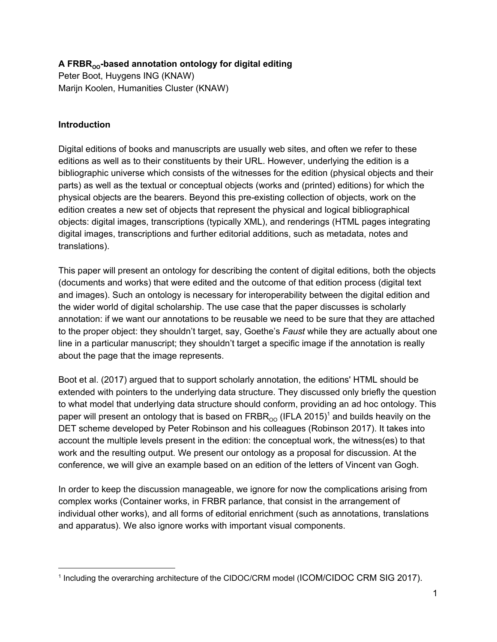# **A FRBROO -based annotation ontology for digital editing**

Peter Boot, Huygens ING (KNAW) Marijn Koolen, Humanities Cluster (KNAW)

#### **Introduction**

Digital editions of books and manuscripts are usually web sites, and often we refer to these editions as well as to their constituents by their URL. However, underlying the edition is a bibliographic universe which consists of the witnesses for the edition (physical objects and their parts) as well as the textual or conceptual objects (works and (printed) editions) for which the physical objects are the bearers. Beyond this pre-existing collection of objects, work on the edition creates a new set of objects that represent the physical and logical bibliographical objects: digital images, transcriptions (typically XML), and renderings (HTML pages integrating digital images, transcriptions and further editorial additions, such as metadata, notes and translations).

This paper will present an ontology for describing the content of digital editions, both the objects (documents and works) that were edited and the outcome of that edition process (digital text and images). Such an ontology is necessary for interoperability between the digital edition and the wider world of digital scholarship. The use case that the paper discusses is scholarly annotation: if we want our annotations to be reusable we need to be sure that they are attached to the proper object: they shouldn't target, say, Goethe's *Faust* while they are actually about one line in a particular manuscript; they shouldn't target a specific image if the annotation is really about the page that the image represents.

Boot et al. (2017) argued that to support scholarly annotation, the editions' HTML should be extended with pointers to the underlying data structure. They discussed only briefly the question to what model that underlying data structure should conform, providing an ad hoc ontology. This paper will present an ontology that is based on  $\mathsf{FRBR}_{\mathsf{OO}}$  (IFLA 2015) $^{\mathsf{i}}$  and builds heavily on the DET scheme developed by Peter Robinson and his colleagues (Robinson 2017). It takes into account the multiple levels present in the edition: the conceptual work, the witness(es) to that work and the resulting output. We present our ontology as a proposal for discussion. At the conference, we will give an example based on an edition of the letters of Vincent van Gogh.

In order to keep the discussion manageable, we ignore for now the complications arising from complex works (Container works, in FRBR parlance, that consist in the arrangement of individual other works), and all forms of editorial enrichment (such as annotations, translations and apparatus). We also ignore works with important visual components.

<sup>&</sup>lt;sup>1</sup> Including the overarching architecture of the CIDOC/CRM model (ICOM/CIDOC CRM SIG 2017).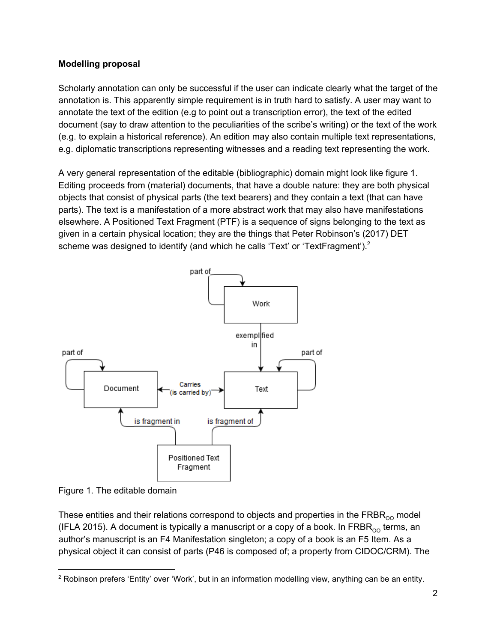### **Modelling proposal**

Scholarly annotation can only be successful if the user can indicate clearly what the target of the annotation is. This apparently simple requirement is in truth hard to satisfy. A user may want to annotate the text of the edition (e.g to point out a transcription error), the text of the edited document (say to draw attention to the peculiarities of the scribe's writing) or the text of the work (e.g. to explain a historical reference). An edition may also contain multiple text representations, e.g. diplomatic transcriptions representing witnesses and a reading text representing the work.

A very general representation of the editable (bibliographic) domain might look like figure 1. Editing proceeds from (material) documents, that have a double nature: they are both physical objects that consist of physical parts (the text bearers) and they contain a text (that can have parts). The text is a manifestation of a more abstract work that may also have manifestations elsewhere. A Positioned Text Fragment (PTF) is a sequence of signs belonging to the text as given in a certain physical location; they are the things that Peter Robinson's (2017) DET scheme was designed to identify (and which he calls 'Text' or 'TextFragment').<sup>2</sup>



Figure 1. The editable domain

These entities and their relations correspond to objects and properties in the  $\text{FRBR}_{\text{OO}}$  model (IFLA 2015). A document is typically a manuscript or a copy of a book. In FRBR $_{\rm oo}$  terms, an author's manuscript is an F4 Manifestation singleton; a copy of a book is an F5 Item. As a physical object it can consist of parts (P46 is composed of; a property from CIDOC/CRM). The

<sup>&</sup>lt;sup>2</sup> Robinson prefers 'Entity' over 'Work', but in an information modelling view, anything can be an entity.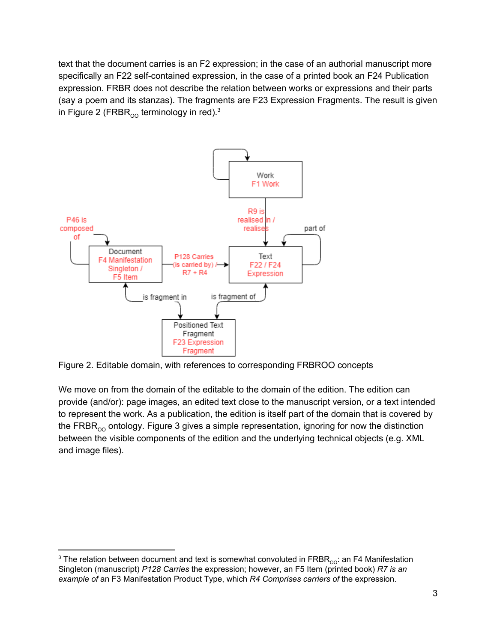text that the document carries is an F2 expression; in the case of an authorial manuscript more specifically an F22 self-contained expression, in the case of a printed book an F24 Publication expression. FRBR does not describe the relation between works or expressions and their parts (say a poem and its stanzas). The fragments are F23 Expression Fragments. The result is given in Figure 2 (FRBR $_{\rm oo}$  terminology in red). $^3$ 



Figure 2. Editable domain, with references to corresponding FRBROO concepts

We move on from the domain of the editable to the domain of the edition. The edition can provide (and/or): page images, an edited text close to the manuscript version, or a text intended to represent the work. As a publication, the edition is itself part of the domain that is covered by the FRBR<sub>00</sub> ontology. Figure 3 gives a simple representation, ignoring for now the distinction between the visible components of the edition and the underlying technical objects (e.g. XML and image files).

<sup>&</sup>lt;sup>3</sup> The relation between document and text is somewhat convoluted in FRBR<sub>00</sub>: an F4 Manifestation Singleton (manuscript) *P128 Carries* the expression; however, an F5 Item (printed book) *R7 is an example of* an F3 Manifestation Product Type, which *R4 Comprises carriers of* the expression.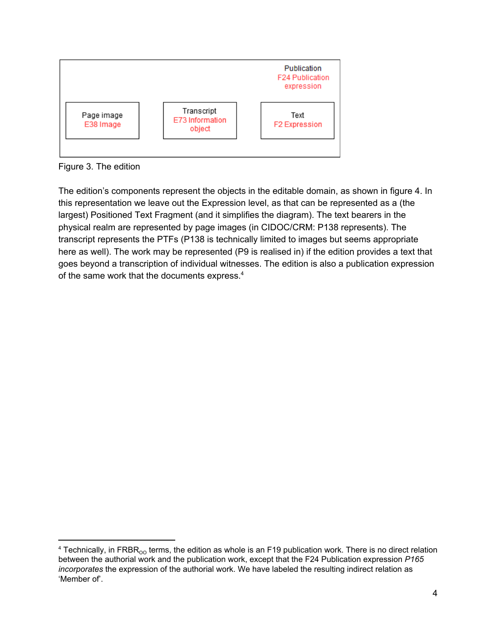

Figure 3. The edition

The edition's components represent the objects in the editable domain, as shown in figure 4. In this representation we leave out the Expression level, as that can be represented as a (the largest) Positioned Text Fragment (and it simplifies the diagram). The text bearers in the physical realm are represented by page images (in CIDOC/CRM: P138 represents). The transcript represents the PTFs (P138 is technically limited to images but seems appropriate here as well). The work may be represented (P9 is realised in) if the edition provides a text that goes beyond a transcription of individual witnesses. The edition is also a publication expression of the same work that the documents express.<sup>4</sup>

 $4$  Technically, in FRBR<sub>oo</sub> terms, the edition as whole is an F19 publication work. There is no direct relation between the authorial work and the publication work, except that the F24 Publication expression *P165 incorporates* the expression of the authorial work. We have labeled the resulting indirect relation as 'Member of'.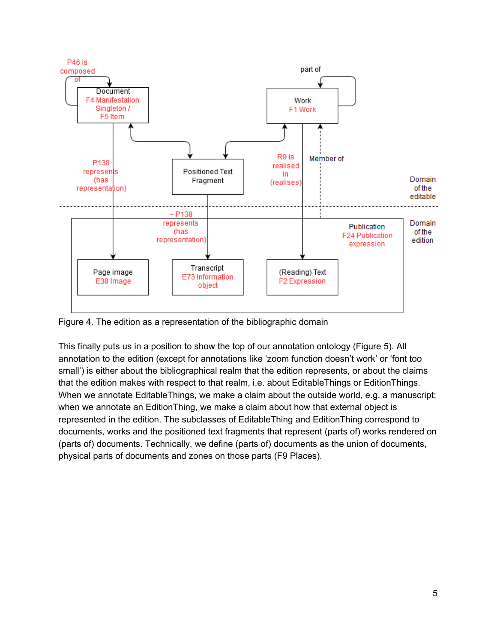

Figure 4. The edition as a representation of the bibliographic domain

This finally puts us in a position to show the top of our annotation ontology (Figure 5). All annotation to the edition (except for annotations like 'zoom function doesn't work' or 'font too small') is either about the bibliographical realm that the edition represents, or about the claims that the edition makes with respect to that realm, i.e. about EditableThings or EditionThings. When we annotate EditableThings, we make a claim about the outside world, e.g. a manuscript; when we annotate an EditionThing, we make a claim about how that external object is represented in the edition. The subclasses of EditableThing and EditionThing correspond to documents, works and the positioned text fragments that represent (parts of) works rendered on (parts of) documents. Technically, we define (parts of) documents as the union of documents, physical parts of documents and zones on those parts (F9 Places).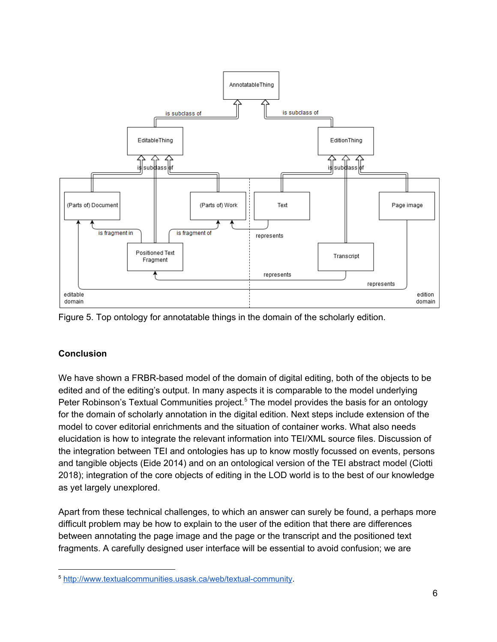



### **Conclusion**

We have shown a FRBR-based model of the domain of digital editing, both of the objects to be edited and of the editing's output. In many aspects it is comparable to the model underlying Peter Robinson's Textual Communities project.<sup>5</sup> The model provides the basis for an ontology for the domain of scholarly annotation in the digital edition. Next steps include extension of the model to cover editorial enrichments and the situation of container works. What also needs elucidation is how to integrate the relevant information into TEI/XML source files. Discussion of the integration between TEI and ontologies has up to know mostly focussed on events, persons and tangible objects (Eide 2014) and on an ontological version of the TEI abstract model (Ciotti 2018); integration of the core objects of editing in the LOD world is to the best of our knowledge as yet largely unexplored.

Apart from these technical challenges, to which an answer can surely be found, a perhaps more difficult problem may be how to explain to the user of the edition that there are differences between annotating the page image and the page or the transcript and the positioned text fragments. A carefully designed user interface will be essential to avoid confusion; we are

<sup>5</sup> <http://www.textualcommunities.usask.ca/web/textual-community>.